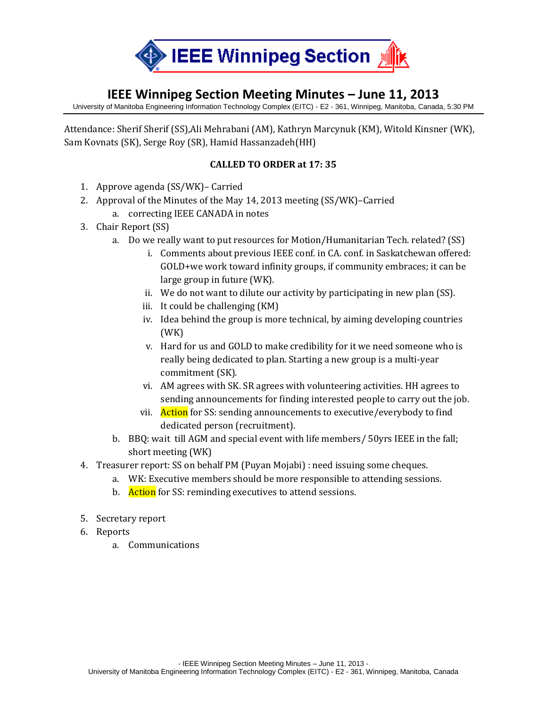

## **IEEE Winnipeg Section Meeting Minutes – June 11, 2013**

University of Manitoba Engineering Information Technology Complex (EITC) - E2 - 361, Winnipeg, Manitoba, Canada, 5:30 PM

Attendance: Sherif Sherif (SS),Ali Mehrabani (AM), Kathryn Marcynuk (KM), Witold Kinsner (WK), Sam Kovnats (SK), Serge Roy (SR), Hamid Hassanzadeh(HH)

## **CALLED TO ORDER at 17: 35**

- 1. Approve agenda (SS/WK)– Carried
- 2. Approval of the Minutes of the May 14, 2013 meeting (SS/WK)–Carried
	- a. correcting IEEE CANADA in notes
- 3. Chair Report (SS)
	- a. Do we really want to put resources for Motion/Humanitarian Tech. related? (SS)
		- i. Comments about previous IEEE conf. in CA. conf. in Saskatchewan offered: GOLD+we work toward infinity groups, if community embraces; it can be large group in future (WK).
		- ii. We do not want to dilute our activity by participating in new plan (SS).
		- iii. It could be challenging (KM)
		- iv. Idea behind the group is more technical, by aiming developing countries (WK)
		- v. Hard for us and GOLD to make credibility for it we need someone who is really being dedicated to plan. Starting a new group is a multi-year commitment (SK).
		- vi. AM agrees with SK. SR agrees with volunteering activities. HH agrees to sending announcements for finding interested people to carry out the job.
		- vii. Action for SS: sending announcements to executive/everybody to find dedicated person (recruitment).
	- b. BBQ: wait till AGM and special event with life members/ 50yrs IEEE in the fall; short meeting (WK)
- 4. Treasurer report: SS on behalf PM (Puyan Mojabi) : need issuing some cheques.
	- a. WK: Executive members should be more responsible to attending sessions.
	- b. Action for SS: reminding executives to attend sessions.
- 5. Secretary report
- 6. Reports
	- a. Communications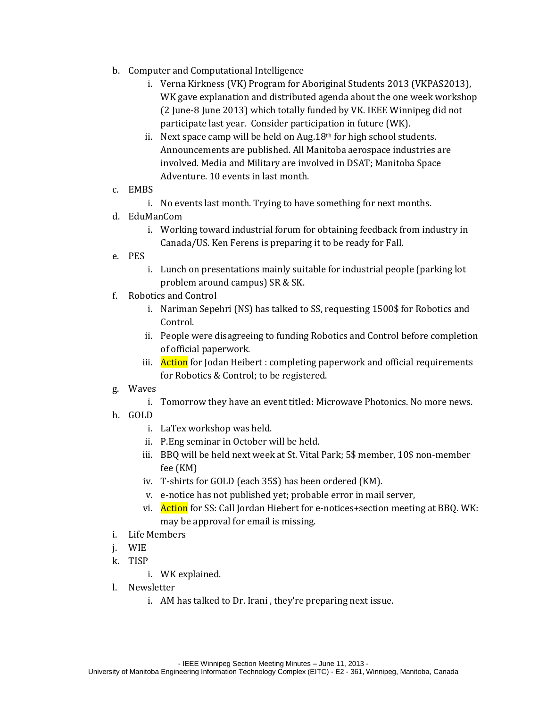- b. Computer and Computational Intelligence
	- i. Verna Kirkness (VK) Program for Aboriginal Students 2013 (VKPAS2013), WK gave explanation and distributed agenda about the one week workshop (2 June-8 June 2013) which totally funded by VK. IEEE Winnipeg did not participate last year. Consider participation in future (WK).
	- ii. Next space camp will be held on Aug.  $18<sup>th</sup>$  for high school students. Announcements are published. All Manitoba aerospace industries are involved. Media and Military are involved in DSAT; Manitoba Space Adventure. 10 events in last month.

## c. EMBS

- i. No events last month. Trying to have something for next months.
- d. EduManCom
	- i. Working toward industrial forum for obtaining feedback from industry in Canada/US. Ken Ferens is preparing it to be ready for Fall.
- e. PES
	- i. Lunch on presentations mainly suitable for industrial people (parking lot problem around campus) SR & SK.
- f. Robotics and Control
	- i. Nariman Sepehri (NS) has talked to SS, requesting 1500\$ for Robotics and Control.
	- ii. People were disagreeing to funding Robotics and Control before completion of official paperwork.
	- iii. Action for Jodan Heibert : completing paperwork and official requirements for Robotics & Control; to be registered.
- g. Waves
	- i. Tomorrow they have an event titled: Microwave Photonics. No more news.
- h. GOLD
	- i. LaTex workshop was held.
	- ii. P.Eng seminar in October will be held.
	- iii. BBQ will be held next week at St. Vital Park; 5\$ member, 10\$ non-member fee (KM)
	- iv. T-shirts for GOLD (each 35\$) has been ordered (KM).
	- v. e-notice has not published yet; probable error in mail server,
	- vi. Action for SS: Call Jordan Hiebert for e-notices+section meeting at BBQ. WK: may be approval for email is missing.
- i. Life Members
- j. WIE
- k. TISP
	- i. WK explained.
- l. Newsletter
	- i. AM has talked to Dr. Irani , they're preparing next issue.